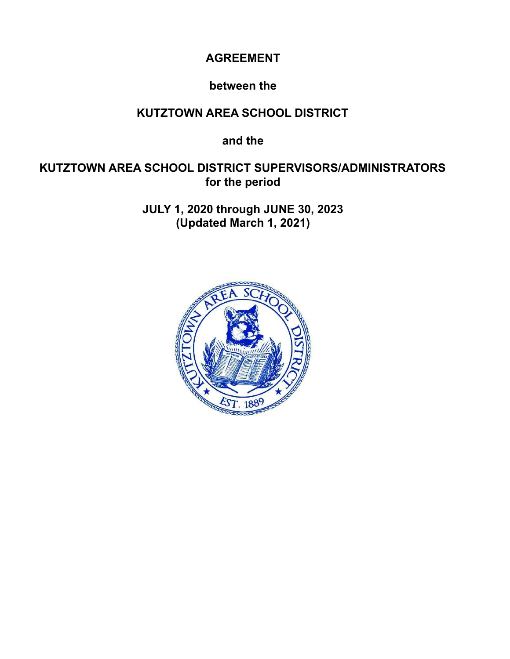# **AGREEMENT**

# **between the**

# **KUTZTOWN AREA SCHOOL DISTRICT**

**and the**

# **KUTZTOWN AREA SCHOOL DISTRICT SUPERVISORS/ADMINISTRATORS for the period**

**JULY 1, 2020 through JUNE 30, 2023 (Updated March 1, 2021)**

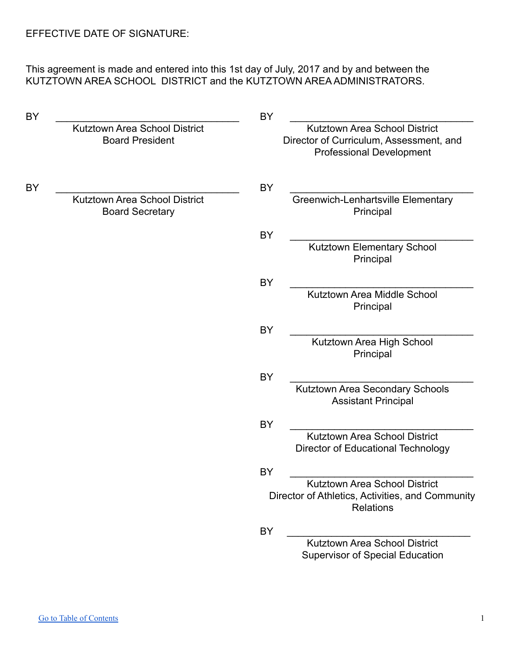This agreement is made and entered into this 1st day of July, 2017 and by and between the KUTZTOWN AREA SCHOOL DISTRICT and the KUTZTOWN AREA ADMINISTRATORS.

| <b>BY</b> |                                                         | <b>BY</b>                                                                                                   |  |
|-----------|---------------------------------------------------------|-------------------------------------------------------------------------------------------------------------|--|
|           | Kutztown Area School District<br><b>Board President</b> | Kutztown Area School District<br>Director of Curriculum, Assessment, and<br><b>Professional Development</b> |  |
| BY        |                                                         | BY                                                                                                          |  |
|           | Kutztown Area School District<br><b>Board Secretary</b> | Greenwich-Lenhartsville Elementary<br>Principal                                                             |  |
|           |                                                         | BY<br>Kutztown Elementary School<br>Principal                                                               |  |
|           |                                                         | BY                                                                                                          |  |
|           |                                                         | Kutztown Area Middle School<br>Principal                                                                    |  |
|           |                                                         | <b>BY</b>                                                                                                   |  |
|           |                                                         | Kutztown Area High School<br>Principal                                                                      |  |
|           |                                                         | <b>BY</b>                                                                                                   |  |
|           |                                                         | Kutztown Area Secondary Schools<br><b>Assistant Principal</b>                                               |  |
|           |                                                         | BY                                                                                                          |  |
|           |                                                         | Kutztown Area School District<br>Director of Educational Technology                                         |  |
|           |                                                         | BY                                                                                                          |  |
|           |                                                         | Kutztown Area School District<br>Director of Athletics, Activities, and Community<br><b>Relations</b>       |  |
|           |                                                         | <b>BY</b>                                                                                                   |  |
|           |                                                         | Kutztown Area School District<br><b>Supervisor of Special Education</b>                                     |  |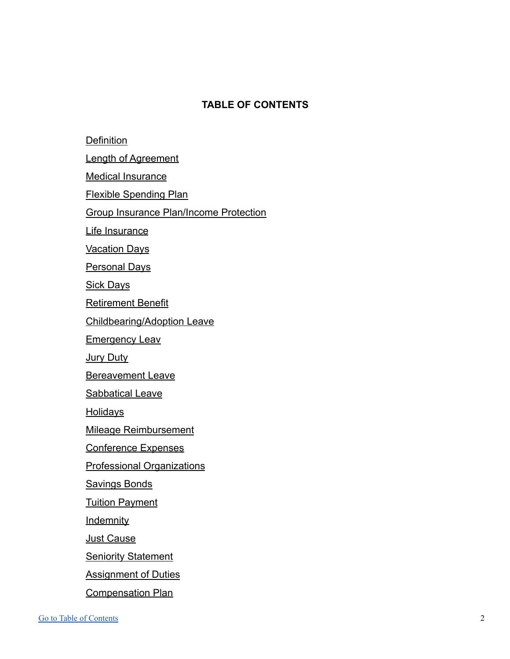# **TABLE OF CONTENTS**

<span id="page-2-0"></span>**[Definition](#page-3-0)** 

[Length of Agreement](#page-3-1)

[Medical Insurance](#page-3-2)

[Flexible Spending Plan](#page-4-0)

[Group Insurance Plan/Income Protection](#page-4-1)

[Life Insurance](#page-5-0)

[Vacation Days](#page-5-1)

[Personal Days](#page-6-0)

[Sick Days](#page-6-1)

[Retirement Benefit](#page-6-2)

[Childbearing/Adoption Leave](#page-7-0)

[Emergency Leav](#page-7-1)

[Jury Duty](#page-7-2)

[Bereavement Leave](#page-8-0)

[Sabbatical Leave](#page-8-1)

**[Holidays](#page-8-2)** 

[Mileage Reimbursement](#page-8-3)

[Conference Expenses](#page-8-4)

[Professional Organizations](#page-8-5)

[Savings Bonds](#page-8-6)

**[Tuition Payment](#page-9-0)** 

**[Indemnity](#page-9-1)** 

[Just Cause](#page-9-2)

[Seniority Statement](#page-9-3)

[Assignment of Duties](#page-10-0)

[Compensation Plan](#page-10-1)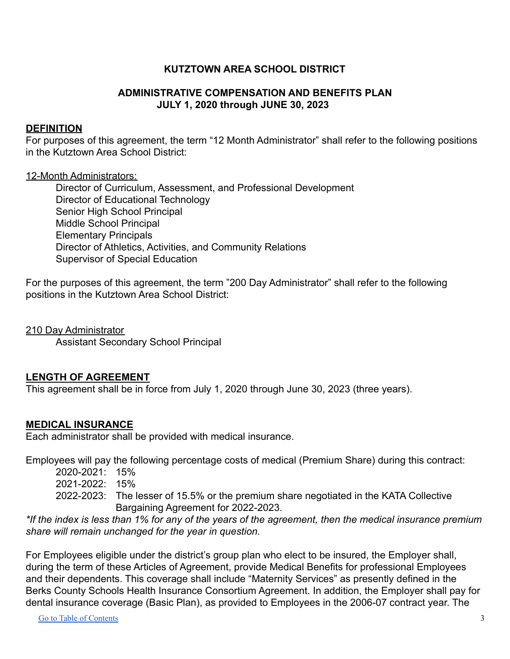# **KUTZTOWN AREA SCHOOL DISTRICT**

# **ADMINISTRATIVE COMPENSATION AND BENEFITS PLAN JULY 1, 2020 through JUNE 30, 2023**

#### <span id="page-3-0"></span>**DEFINITION**

For purposes of this agreement, the term "12 Month Administrator" shall refer to the following positions in the Kutztown Area School District:

#### 12-Month Administrators:

Director of Curriculum, Assessment, and Professional Development Director of Educational Technology Senior High School Principal Middle School Principal Elementary Principals Director of Athletics, Activities, and Community Relations Supervisor of Special Education

For the purposes of this agreement, the term "200 Day Administrator" shall refer to the following positions in the Kutztown Area School District:

210 Day Administrator

Assistant Secondary School Principal

### <span id="page-3-1"></span>**LENGTH OF AGREEMENT**

This agreement shall be in force from July 1, 2020 through June 30, 2023 (three years).

### <span id="page-3-2"></span>**MEDICAL INSURANCE**

Each administrator shall be provided with medical insurance.

Employees will pay the following percentage costs of medical (Premium Share) during this contract:

- 2020-2021: 15% 2021-2022: 15%
- 2022-2023: The lesser of 15.5% or the premium share negotiated in the KATA Collective Bargaining Agreement for 2022-2023.

*\*If the index is less than 1% for any of the years of the agreement, then the medical insurance premium share will remain unchanged for the year in question.*

For Employees eligible under the district's group plan who elect to be insured, the Employer shall, during the term of these Articles of Agreement, provide Medical Benefits for professional Employees and their dependents. This coverage shall include "Maternity Services" as presently defined in the Berks County Schools Health Insurance Consortium Agreement. In addition, the Employer shall pay for dental insurance coverage (Basic Plan), as provided to Employees in the 2006-07 contract year. The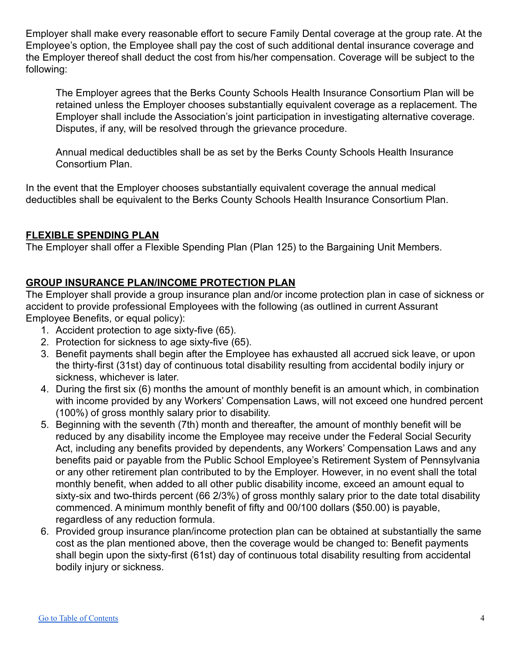Employer shall make every reasonable effort to secure Family Dental coverage at the group rate. At the Employee's option, the Employee shall pay the cost of such additional dental insurance coverage and the Employer thereof shall deduct the cost from his/her compensation. Coverage will be subject to the following:

The Employer agrees that the Berks County Schools Health Insurance Consortium Plan will be retained unless the Employer chooses substantially equivalent coverage as a replacement. The Employer shall include the Association's joint participation in investigating alternative coverage. Disputes, if any, will be resolved through the grievance procedure.

Annual medical deductibles shall be as set by the Berks County Schools Health Insurance Consortium Plan.

In the event that the Employer chooses substantially equivalent coverage the annual medical deductibles shall be equivalent to the Berks County Schools Health Insurance Consortium Plan.

# <span id="page-4-0"></span>**FLEXIBLE SPENDING PLAN**

The Employer shall offer a Flexible Spending Plan (Plan 125) to the Bargaining Unit Members.

# <span id="page-4-1"></span>**GROUP INSURANCE PLAN/INCOME PROTECTION PLAN**

The Employer shall provide a group insurance plan and/or income protection plan in case of sickness or accident to provide professional Employees with the following (as outlined in current Assurant Employee Benefits, or equal policy):

- 1. Accident protection to age sixty-five (65).
- 2. Protection for sickness to age sixty-five (65).
- 3. Benefit payments shall begin after the Employee has exhausted all accrued sick leave, or upon the thirty-first (31st) day of continuous total disability resulting from accidental bodily injury or sickness, whichever is later.
- 4. During the first six (6) months the amount of monthly benefit is an amount which, in combination with income provided by any Workers' Compensation Laws, will not exceed one hundred percent (100%) of gross monthly salary prior to disability.
- 5. Beginning with the seventh (7th) month and thereafter, the amount of monthly benefit will be reduced by any disability income the Employee may receive under the Federal Social Security Act, including any benefits provided by dependents, any Workers' Compensation Laws and any benefits paid or payable from the Public School Employee's Retirement System of Pennsylvania or any other retirement plan contributed to by the Employer. However, in no event shall the total monthly benefit, when added to all other public disability income, exceed an amount equal to sixty-six and two-thirds percent (66 2/3%) of gross monthly salary prior to the date total disability commenced. A minimum monthly benefit of fifty and 00/100 dollars (\$50.00) is payable, regardless of any reduction formula.
- 6. Provided group insurance plan/income protection plan can be obtained at substantially the same cost as the plan mentioned above, then the coverage would be changed to: Benefit payments shall begin upon the sixty-first (61st) day of continuous total disability resulting from accidental bodily injury or sickness.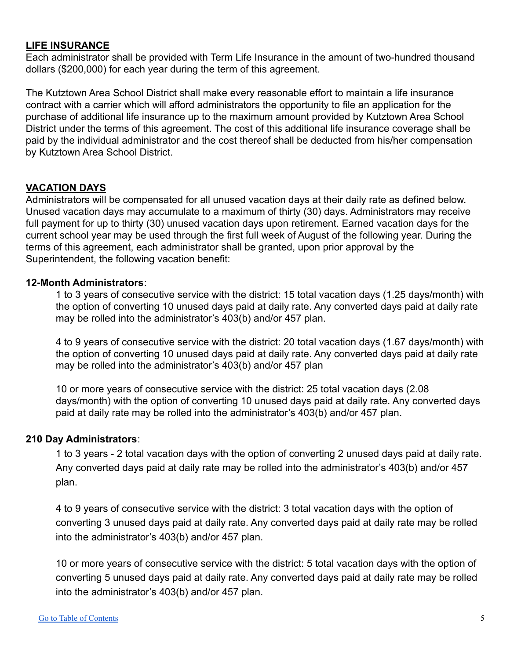### <span id="page-5-0"></span>**LIFE INSURANCE**

Each administrator shall be provided with Term Life Insurance in the amount of two-hundred thousand dollars (\$200,000) for each year during the term of this agreement.

The Kutztown Area School District shall make every reasonable effort to maintain a life insurance contract with a carrier which will afford administrators the opportunity to file an application for the purchase of additional life insurance up to the maximum amount provided by Kutztown Area School District under the terms of this agreement. The cost of this additional life insurance coverage shall be paid by the individual administrator and the cost thereof shall be deducted from his/her compensation by Kutztown Area School District.

# <span id="page-5-1"></span>**VACATION DAYS**

Administrators will be compensated for all unused vacation days at their daily rate as defined below. Unused vacation days may accumulate to a maximum of thirty (30) days. Administrators may receive full payment for up to thirty (30) unused vacation days upon retirement. Earned vacation days for the current school year may be used through the first full week of August of the following year. During the terms of this agreement, each administrator shall be granted, upon prior approval by the Superintendent, the following vacation benefit:

# **12-Month Administrators**:

1 to 3 years of consecutive service with the district: 15 total vacation days (1.25 days/month) with the option of converting 10 unused days paid at daily rate. Any converted days paid at daily rate may be rolled into the administrator's 403(b) and/or 457 plan.

4 to 9 years of consecutive service with the district: 20 total vacation days (1.67 days/month) with the option of converting 10 unused days paid at daily rate. Any converted days paid at daily rate may be rolled into the administrator's 403(b) and/or 457 plan

10 or more years of consecutive service with the district: 25 total vacation days (2.08 days/month) with the option of converting 10 unused days paid at daily rate. Any converted days paid at daily rate may be rolled into the administrator's 403(b) and/or 457 plan.

# **210 Day Administrators**:

1 to 3 years - 2 total vacation days with the option of converting 2 unused days paid at daily rate. Any converted days paid at daily rate may be rolled into the administrator's 403(b) and/or 457 plan.

4 to 9 years of consecutive service with the district: 3 total vacation days with the option of converting 3 unused days paid at daily rate. Any converted days paid at daily rate may be rolled into the administrator's 403(b) and/or 457 plan.

10 or more years of consecutive service with the district: 5 total vacation days with the option of converting 5 unused days paid at daily rate. Any converted days paid at daily rate may be rolled into the administrator's 403(b) and/or 457 plan.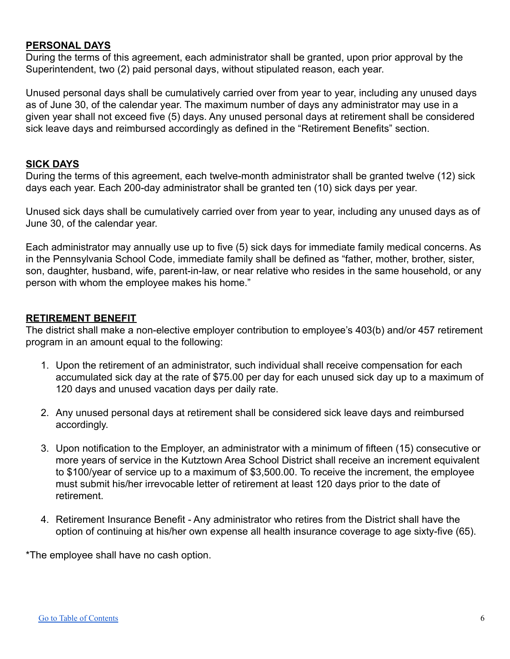#### <span id="page-6-0"></span>**PERSONAL DAYS**

During the terms of this agreement, each administrator shall be granted, upon prior approval by the Superintendent, two (2) paid personal days, without stipulated reason, each year.

Unused personal days shall be cumulatively carried over from year to year, including any unused days as of June 30, of the calendar year. The maximum number of days any administrator may use in a given year shall not exceed five (5) days. Any unused personal days at retirement shall be considered sick leave days and reimbursed accordingly as defined in the "Retirement Benefits" section.

### <span id="page-6-1"></span>**SICK DAYS**

During the terms of this agreement, each twelve-month administrator shall be granted twelve (12) sick days each year. Each 200-day administrator shall be granted ten (10) sick days per year.

Unused sick days shall be cumulatively carried over from year to year, including any unused days as of June 30, of the calendar year.

Each administrator may annually use up to five (5) sick days for immediate family medical concerns. As in the Pennsylvania School Code, immediate family shall be defined as "father, mother, brother, sister, son, daughter, husband, wife, parent-in-law, or near relative who resides in the same household, or any person with whom the employee makes his home."

#### <span id="page-6-2"></span>**RETIREMENT BENEFIT**

The district shall make a non-elective employer contribution to employee's 403(b) and/or 457 retirement program in an amount equal to the following:

- 1. Upon the retirement of an administrator, such individual shall receive compensation for each accumulated sick day at the rate of \$75.00 per day for each unused sick day up to a maximum of 120 days and unused vacation days per daily rate.
- 2. Any unused personal days at retirement shall be considered sick leave days and reimbursed accordingly.
- 3. Upon notification to the Employer, an administrator with a minimum of fifteen (15) consecutive or more years of service in the Kutztown Area School District shall receive an increment equivalent to \$100/year of service up to a maximum of \$3,500.00. To receive the increment, the employee must submit his/her irrevocable letter of retirement at least 120 days prior to the date of retirement.
- 4. Retirement Insurance Benefit Any administrator who retires from the District shall have the option of continuing at his/her own expense all health insurance coverage to age sixty-five (65).

\*The employee shall have no cash option.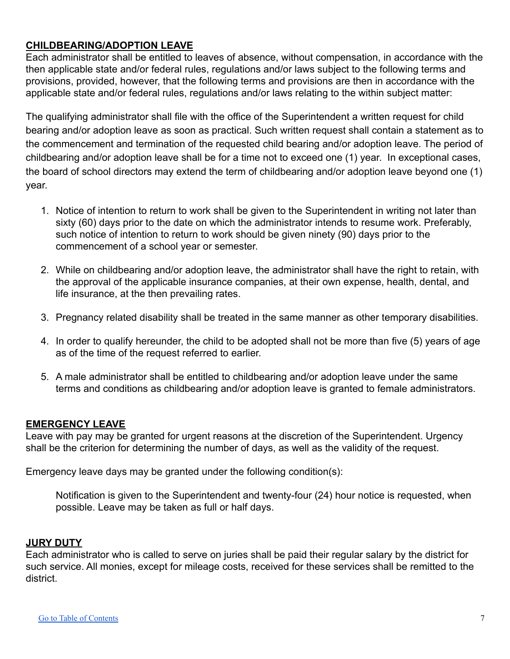# <span id="page-7-0"></span>**CHILDBEARING/ADOPTION LEAVE**

Each administrator shall be entitled to leaves of absence, without compensation, in accordance with the then applicable state and/or federal rules, regulations and/or laws subject to the following terms and provisions, provided, however, that the following terms and provisions are then in accordance with the applicable state and/or federal rules, regulations and/or laws relating to the within subject matter:

The qualifying administrator shall file with the office of the Superintendent a written request for child bearing and/or adoption leave as soon as practical. Such written request shall contain a statement as to the commencement and termination of the requested child bearing and/or adoption leave. The period of childbearing and/or adoption leave shall be for a time not to exceed one (1) year. In exceptional cases, the board of school directors may extend the term of childbearing and/or adoption leave beyond one (1) year.

- 1. Notice of intention to return to work shall be given to the Superintendent in writing not later than sixty (60) days prior to the date on which the administrator intends to resume work. Preferably, such notice of intention to return to work should be given ninety (90) days prior to the commencement of a school year or semester.
- 2. While on childbearing and/or adoption leave, the administrator shall have the right to retain, with the approval of the applicable insurance companies, at their own expense, health, dental, and life insurance, at the then prevailing rates.
- 3. Pregnancy related disability shall be treated in the same manner as other temporary disabilities.
- 4. In order to qualify hereunder, the child to be adopted shall not be more than five (5) years of age as of the time of the request referred to earlier.
- 5. A male administrator shall be entitled to childbearing and/or adoption leave under the same terms and conditions as childbearing and/or adoption leave is granted to female administrators.

# <span id="page-7-1"></span>**EMERGENCY LEAVE**

Leave with pay may be granted for urgent reasons at the discretion of the Superintendent. Urgency shall be the criterion for determining the number of days, as well as the validity of the request.

Emergency leave days may be granted under the following condition(s):

Notification is given to the Superintendent and twenty-four (24) hour notice is requested, when possible. Leave may be taken as full or half days.

### <span id="page-7-2"></span>**JURY DUTY**

Each administrator who is called to serve on juries shall be paid their regular salary by the district for such service. All monies, except for mileage costs, received for these services shall be remitted to the district.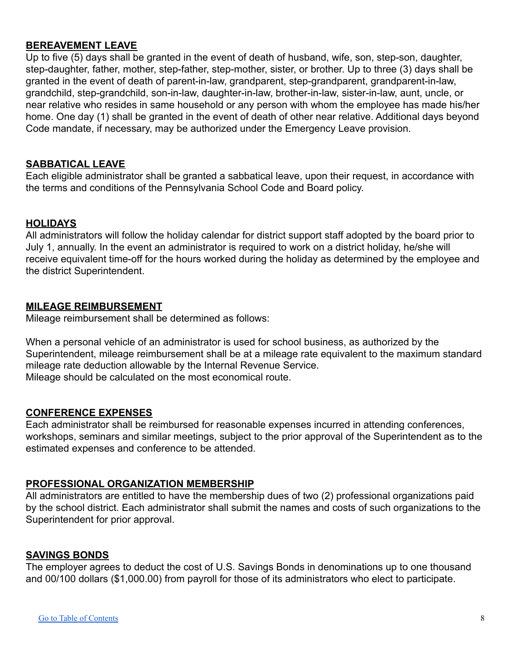# <span id="page-8-0"></span>**BEREAVEMENT LEAVE**

Up to five (5) days shall be granted in the event of death of husband, wife, son, step-son, daughter, step-daughter, father, mother, step-father, step-mother, sister, or brother. Up to three (3) days shall be granted in the event of death of parent-in-law, grandparent, step-grandparent, grandparent-in-law, grandchild, step-grandchild, son-in-law, daughter-in-law, brother-in-law, sister-in-law, aunt, uncle, or near relative who resides in same household or any person with whom the employee has made his/her home. One day (1) shall be granted in the event of death of other near relative. Additional days beyond Code mandate, if necessary, may be authorized under the Emergency Leave provision.

### <span id="page-8-1"></span>**SABBATICAL LEAVE**

Each eligible administrator shall be granted a sabbatical leave, upon their request, in accordance with the terms and conditions of the Pennsylvania School Code and Board policy.

# <span id="page-8-2"></span>**HOLIDAYS**

All administrators will follow the holiday calendar for district support staff adopted by the board prior to July 1, annually. In the event an administrator is required to work on a district holiday, he/she will receive equivalent time-off for the hours worked during the holiday as determined by the employee and the district Superintendent.

# <span id="page-8-3"></span>**MILEAGE REIMBURSEMENT**

Mileage reimbursement shall be determined as follows:

When a personal vehicle of an administrator is used for school business, as authorized by the Superintendent, mileage reimbursement shall be at a mileage rate equivalent to the maximum standard mileage rate deduction allowable by the Internal Revenue Service. Mileage should be calculated on the most economical route.

### <span id="page-8-4"></span>**CONFERENCE EXPENSES**

Each administrator shall be reimbursed for reasonable expenses incurred in attending conferences, workshops, seminars and similar meetings, subject to the prior approval of the Superintendent as to the estimated expenses and conference to be attended.

# <span id="page-8-5"></span>**PROFESSIONAL ORGANIZATION MEMBERSHIP**

All administrators are entitled to have the membership dues of two (2) professional organizations paid by the school district. Each administrator shall submit the names and costs of such organizations to the Superintendent for prior approval.

### <span id="page-8-6"></span>**SAVINGS BONDS**

The employer agrees to deduct the cost of U.S. Savings Bonds in denominations up to one thousand and 00/100 dollars (\$1,000.00) from payroll for those of its administrators who elect to participate.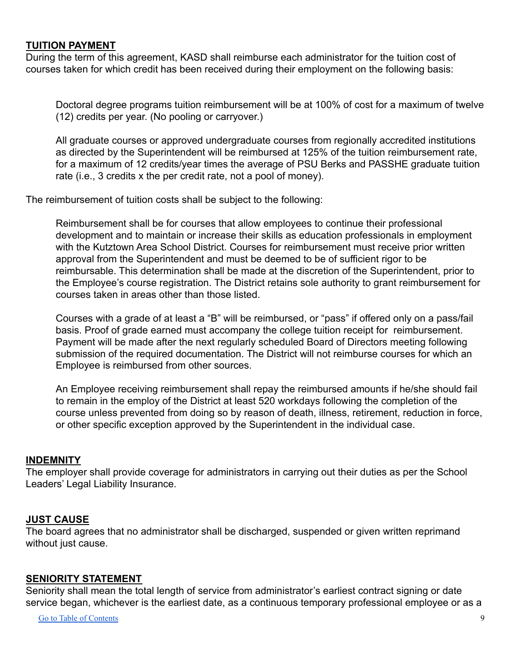### <span id="page-9-0"></span>**TUITION PAYMENT**

During the term of this agreement, KASD shall reimburse each administrator for the tuition cost of courses taken for which credit has been received during their employment on the following basis:

Doctoral degree programs tuition reimbursement will be at 100% of cost for a maximum of twelve (12) credits per year. (No pooling or carryover.)

All graduate courses or approved undergraduate courses from regionally accredited institutions as directed by the Superintendent will be reimbursed at 125% of the tuition reimbursement rate, for a maximum of 12 credits/year times the average of PSU Berks and PASSHE graduate tuition rate (i.e., 3 credits x the per credit rate, not a pool of money).

The reimbursement of tuition costs shall be subject to the following:

Reimbursement shall be for courses that allow employees to continue their professional development and to maintain or increase their skills as education professionals in employment with the Kutztown Area School District. Courses for reimbursement must receive prior written approval from the Superintendent and must be deemed to be of sufficient rigor to be reimbursable. This determination shall be made at the discretion of the Superintendent, prior to the Employee's course registration. The District retains sole authority to grant reimbursement for courses taken in areas other than those listed.

Courses with a grade of at least a "B" will be reimbursed, or "pass" if offered only on a pass/fail basis. Proof of grade earned must accompany the college tuition receipt for reimbursement. Payment will be made after the next regularly scheduled Board of Directors meeting following submission of the required documentation. The District will not reimburse courses for which an Employee is reimbursed from other sources.

An Employee receiving reimbursement shall repay the reimbursed amounts if he/she should fail to remain in the employ of the District at least 520 workdays following the completion of the course unless prevented from doing so by reason of death, illness, retirement, reduction in force, or other specific exception approved by the Superintendent in the individual case.

### <span id="page-9-1"></span>**INDEMNITY**

The employer shall provide coverage for administrators in carrying out their duties as per the School Leaders' Legal Liability Insurance.

### <span id="page-9-2"></span>**JUST CAUSE**

The board agrees that no administrator shall be discharged, suspended or given written reprimand without just cause.

# <span id="page-9-3"></span>**SENIORITY STATEMENT**

Seniority shall mean the total length of service from administrator's earliest contract signing or date service began, whichever is the earliest date, as a continuous temporary professional employee or as a